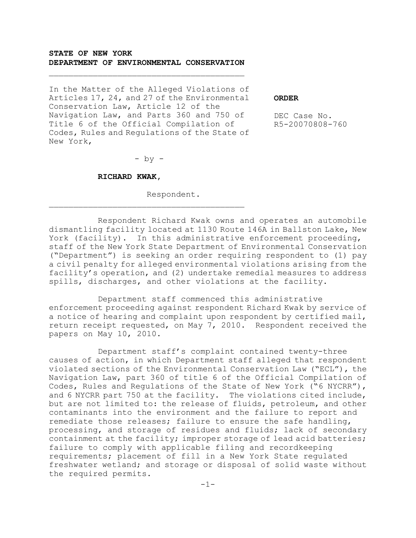## **STATE OF NEW YORK DEPARTMENT OF ENVIRONMENTAL CONSERVATION**

In the Matter of the Alleged Violations of Articles 17, 24, and 27 of the Environmental Conservation Law, Article 12 of the Navigation Law, and Parts 360 and 750 of Title 6 of the Official Compilation of Codes, Rules and Regulations of the State of New York,

**ORDER**

DEC Case No. R5-20070808-760

 $-$  by  $-$ 

#### **RICHARD KWAK,**

Respondent.

Respondent Richard Kwak owns and operates an automobile dismantling facility located at 1130 Route 146A in Ballston Lake, New York (facility). In this administrative enforcement proceeding, staff of the New York State Department of Environmental Conservation ("Department") is seeking an order requiring respondent to (1) pay a civil penalty for alleged environmental violations arising from the facility's operation, and (2) undertake remedial measures to address spills, discharges, and other violations at the facility.

Department staff commenced this administrative enforcement proceeding against respondent Richard Kwak by service of a notice of hearing and complaint upon respondent by certified mail, return receipt requested, on May 7, 2010. Respondent received the papers on May 10, 2010.

Department staff's complaint contained twenty-three causes of action, in which Department staff alleged that respondent violated sections of the Environmental Conservation Law ("ECL"), the Navigation Law, part 360 of title 6 of the Official Compilation of Codes, Rules and Regulations of the State of New York ("6 NYCRR"), and 6 NYCRR part 750 at the facility. The violations cited include, but are not limited to: the release of fluids, petroleum, and other contaminants into the environment and the failure to report and remediate those releases; failure to ensure the safe handling, processing, and storage of residues and fluids; lack of secondary containment at the facility; improper storage of lead acid batteries; failure to comply with applicable filing and recordkeeping requirements; placement of fill in a New York State regulated freshwater wetland; and storage or disposal of solid waste without the required permits.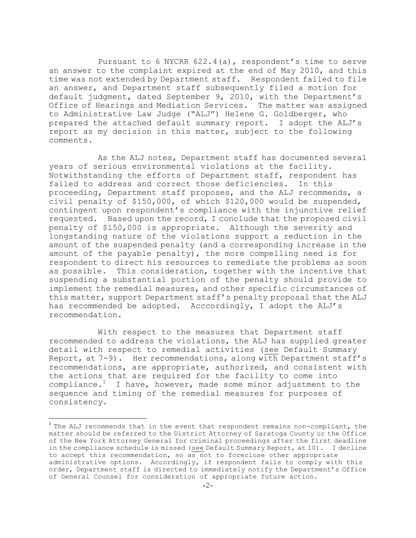Pursuant to 6 NYCRR  $622.4(a)$ , respondent's time to serve an answer to the complaint expired at the end of May 2010, and this time was not extended by Department staff. Respondent failed to file an answer, and Department staff subsequently filed a motion for default judgment, dated September 9, 2010, with the Department's Office of Hearings and Mediation Services. The matter was assigned to Administrative Law Judge ("ALJ") Helene G. Goldberger, who prepared the attached default summary report. I adopt the ALJ's report as my decision in this matter, subject to the following comments.

As the ALJ notes, Department staff has documented several years of serious environmental violations at the facility. Notwithstanding the efforts of Department staff, respondent has failed to address and correct those deficiencies. In this proceeding, Department staff proposes, and the ALJ recommends, a civil penalty of \$150,000, of which \$120,000 would be suspended, contingent upon respondent's compliance with the injunctive relief requested. Based upon the record, I conclude that the proposed civil penalty of \$150,000 is appropriate. Although the severity and longstanding nature of the violations support a reduction in the amount of the suspended penalty (and a corresponding increase in the amount of the payable penalty), the more compelling need is for respondent to direct his resources to remediate the problems as soon as possible. This consideration, together with the incentive that suspending a substantial portion of the penalty should provide to implement the remedial measures, and other specific circumstances of this matter, support Department staff's penalty proposal that the ALJ has recommended be adopted. Acccordingly, I adopt the ALJ's recommendation.

With respect to the measures that Department staff recommended to address the violations, the ALJ has supplied greater detail with respect to remedial activities (see Default Summary Report, at 7-9). Her recommendations, along with Department staff's recommendations, are appropriate, authorized, and consistent with the actions that are required for the facility to come into compliance.<sup>1</sup> I have, however, made some minor adjustment to the sequence and timing of the remedial measures for purposes of consistency.

÷,

 $^1$  The ALJ recommends that in the event that respondent remains non-compliant, the matter should be referred to the District Attorney of Saratoga County or the Office of the New York Attorney General for criminal proceedings after the first deadline in the compliance schedule is missed (see Default Summary Report, at 10). I decline to accept this recommendation, so as not to foreclose other appropriate administrative options. Accordingly, if respondent fails to comply with this order, Department staff is directed to immediately notify the Department's Office of General Counsel for consideration of appropriate future action.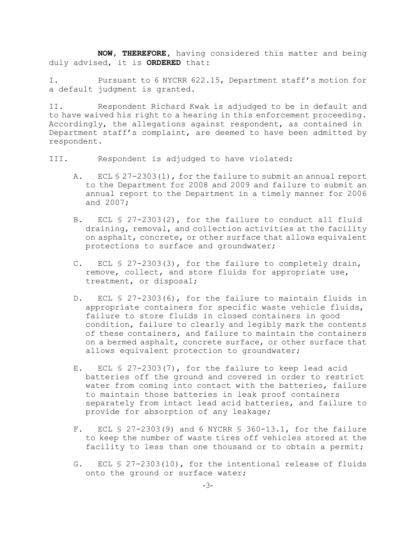**NOW, THEREFORE,** having considered this matter and being duly advised, it is **ORDERED** that:

I. Pursuant to 6 NYCRR 622.15, Department staff's motion for a default judgment is granted.

II. Respondent Richard Kwak is adjudged to be in default and to have waived his right to a hearing in this enforcement proceeding. Accordingly, the allegations against respondent, as contained in Department staff's complaint, are deemed to have been admitted by respondent.

III. Respondent is adjudged to have violated:

- A. ECL § 27-2303(1), for the failure to submit an annual report to the Department for 2008 and 2009 and failure to submit an annual report to the Department in a timely manner for 2006 and 2007;
- B. ECL § 27-2303(2), for the failure to conduct all fluid draining, removal, and collection activities at the facility on asphalt, concrete, or other surface that allows equivalent protections to surface and groundwater;
- C. ECL § 27-2303(3), for the failure to completely drain, remove, collect, and store fluids for appropriate use, treatment, or disposal;
- D. ECL § 27-2303(6), for the failure to maintain fluids in appropriate containers for specific waste vehicle fluids, failure to store fluids in closed containers in good condition, failure to clearly and legibly mark the contents of these containers, and failure to maintain the containers on a bermed asphalt, concrete surface, or other surface that allows equivalent protection to groundwater;
- E. ECL § 27-2303(7), for the failure to keep lead acid batteries off the ground and covered in order to restrict water from coming into contact with the batteries, failure to maintain those batteries in leak proof containers separately from intact lead acid batteries, and failure to provide for absorption of any leakage;
- F. ECL § 27-2303(9) and 6 NYCRR § 360-13.1, for the failure to keep the number of waste tires off vehicles stored at the facility to less than one thousand or to obtain a permit;
- G. ECL § 27-2303(10), for the intentional release of fluids onto the ground or surface water;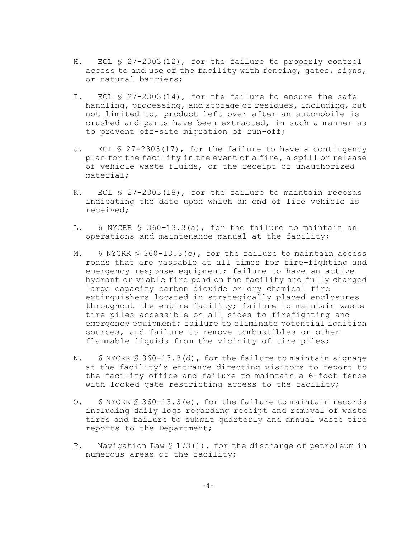- H. ECL § 27-2303(12), for the failure to properly control access to and use of the facility with fencing, gates, signs, or natural barriers;
- I. ECL § 27-2303(14), for the failure to ensure the safe handling, processing, and storage of residues, including, but not limited to, product left over after an automobile is crushed and parts have been extracted, in such a manner as to prevent off-site migration of run-off;
- J. ECL § 27-2303(17), for the failure to have a contingency plan for the facility in the event of a fire, a spill or release of vehicle waste fluids, or the receipt of unauthorized material;
- K. ECL § 27-2303(18), for the failure to maintain records indicating the date upon which an end of life vehicle is received;
- L. 6 NYCRR § 360-13.3(a), for the failure to maintain an operations and maintenance manual at the facility;
- M. 6 NYCRR § 360-13.3(c), for the failure to maintain access roads that are passable at all times for fire-fighting and emergency response equipment; failure to have an active hydrant or viable fire pond on the facility and fully charged large capacity carbon dioxide or dry chemical fire extinguishers located in strategically placed enclosures throughout the entire facility; failure to maintain waste tire piles accessible on all sides to firefighting and emergency equipment; failure to eliminate potential ignition sources, and failure to remove combustibles or other flammable liquids from the vicinity of tire piles;
- N. 6 NYCRR § 360-13.3(d), for the failure to maintain signage at the facility's entrance directing visitors to report to the facility office and failure to maintain a 6-foot fence with locked gate restricting access to the facility;
- O. 6 NYCRR § 360-13.3(e), for the failure to maintain records including daily logs regarding receipt and removal of waste tires and failure to submit quarterly and annual waste tire reports to the Department;
- P. Navigation Law § 173(1), for the discharge of petroleum in numerous areas of the facility;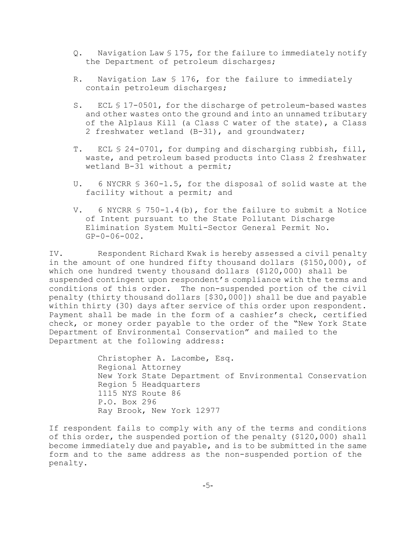- Q. Navigation Law § 175, for the failure to immediately notify the Department of petroleum discharges;
- R. Navigation Law § 176, for the failure to immediately contain petroleum discharges;
- S. ECL § 17-0501, for the discharge of petroleum-based wastes and other wastes onto the ground and into an unnamed tributary of the Alplaus Kill (a Class C water of the state), a Class 2 freshwater wetland (B-31), and groundwater;
- T. ECL § 24-0701, for dumping and discharging rubbish, fill, waste, and petroleum based products into Class 2 freshwater wetland B-31 without a permit;
- U. 6 NYCRR § 360-1.5, for the disposal of solid waste at the facility without a permit; and
- V. 6 NYCRR § 750-1.4(b), for the failure to submit a Notice of Intent pursuant to the State Pollutant Discharge Elimination System Multi-Sector General Permit No. GP-0-06-002.

IV. Respondent Richard Kwak is hereby assessed a civil penalty in the amount of one hundred fifty thousand dollars (\$150,000), of which one hundred twenty thousand dollars (\$120,000) shall be suspended contingent upon respondent's compliance with the terms and conditions of this order. The non-suspended portion of the civil penalty (thirty thousand dollars [\$30,000]) shall be due and payable within thirty (30) days after service of this order upon respondent. Payment shall be made in the form of a cashier's check, certified check, or money order payable to the order of the "New York State Department of Environmental Conservation" and mailed to the Department at the following address:

> Christopher A. Lacombe, Esq. Regional Attorney New York State Department of Environmental Conservation Region 5 Headquarters 1115 NYS Route 86 P.O. Box 296 Ray Brook, New York 12977

If respondent fails to comply with any of the terms and conditions of this order, the suspended portion of the penalty (\$120,000) shall become immediately due and payable, and is to be submitted in the same form and to the same address as the non-suspended portion of the penalty.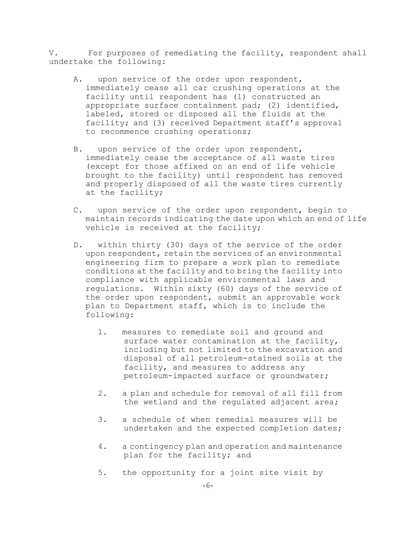V. For purposes of remediating the facility, respondent shall undertake the following:

- A. upon service of the order upon respondent, immediately cease all car crushing operations at the facility until respondent has (1) constructed an appropriate surface containment pad; (2) identified, labeled, stored or disposed all the fluids at the facility; and (3) received Department staff's approval to recommence crushing operations;
- B. upon service of the order upon respondent, immediately cease the acceptance of all waste tires (except for those affixed on an end of life vehicle brought to the facility) until respondent has removed and properly disposed of all the waste tires currently at the facility;
- C. upon service of the order upon respondent, begin to maintain records indicating the date upon which an end of life vehicle is received at the facility;
- D. within thirty (30) days of the service of the order upon respondent, retain the services of an environmental engineering firm to prepare a work plan to remediate conditions at the facility and to bring the facility into compliance with applicable environmental laws and regulations. Within sixty (60) days of the service of the order upon respondent, submit an approvable work plan to Department staff, which is to include the following:
	- 1. measures to remediate soil and ground and surface water contamination at the facility, including but not limited to the excavation and disposal of all petroleum-stained soils at the facility, and measures to address any petroleum-impacted surface or groundwater;
	- 2. a plan and schedule for removal of all fill from the wetland and the regulated adjacent area;
	- 3. a schedule of when remedial measures will be undertaken and the expected completion dates;
	- 4. a contingency plan and operation and maintenance plan for the facility; and
	- 5. the opportunity for a joint site visit by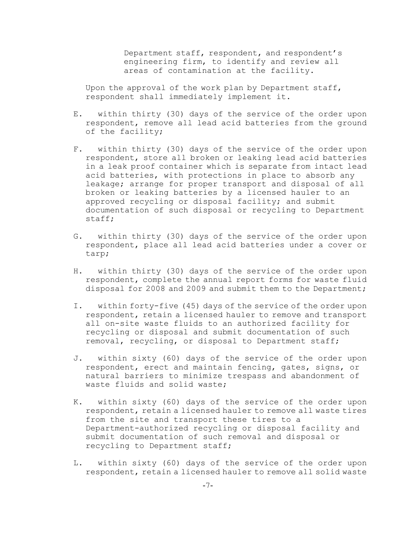Department staff, respondent, and respondent's engineering firm, to identify and review all areas of contamination at the facility.

Upon the approval of the work plan by Department staff, respondent shall immediately implement it.

- E. within thirty (30) days of the service of the order upon respondent, remove all lead acid batteries from the ground of the facility;
- F. within thirty (30) days of the service of the order upon respondent, store all broken or leaking lead acid batteries in a leak proof container which is separate from intact lead acid batteries, with protections in place to absorb any leakage; arrange for proper transport and disposal of all broken or leaking batteries by a licensed hauler to an approved recycling or disposal facility; and submit documentation of such disposal or recycling to Department staff;
- G. within thirty (30) days of the service of the order upon respondent, place all lead acid batteries under a cover or tarp;
- H. within thirty (30) days of the service of the order upon respondent, complete the annual report forms for waste fluid disposal for 2008 and 2009 and submit them to the Department;
- I. within forty-five (45) days of the service of the order upon respondent, retain a licensed hauler to remove and transport all on-site waste fluids to an authorized facility for recycling or disposal and submit documentation of such removal, recycling, or disposal to Department staff;
- J. within sixty (60) days of the service of the order upon respondent, erect and maintain fencing, gates, signs, or natural barriers to minimize trespass and abandonment of waste fluids and solid waste;
- K. within sixty (60) days of the service of the order upon respondent, retain a licensed hauler to remove all waste tires from the site and transport these tires to a Department-authorized recycling or disposal facility and submit documentation of such removal and disposal or recycling to Department staff;
- L. within sixty (60) days of the service of the order upon respondent, retain a licensed hauler to remove all solid waste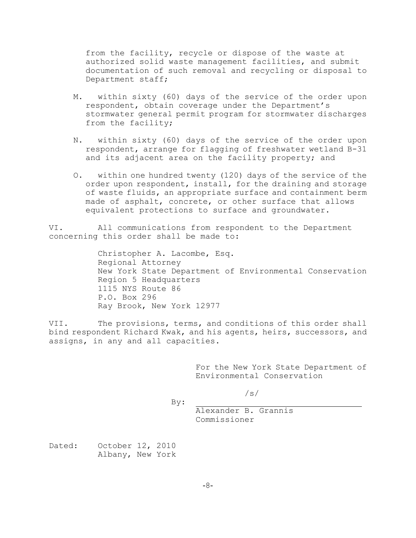from the facility, recycle or dispose of the waste at authorized solid waste management facilities, and submit documentation of such removal and recycling or disposal to Department staff;

- M. within sixty (60) days of the service of the order upon respondent, obtain coverage under the Department's stormwater general permit program for stormwater discharges from the facility;
- N. within sixty (60) days of the service of the order upon respondent, arrange for flagging of freshwater wetland B-31 and its adjacent area on the facility property; and
- O. within one hundred twenty (120) days of the service of the order upon respondent, install, for the draining and storage of waste fluids, an appropriate surface and containment berm made of asphalt, concrete, or other surface that allows equivalent protections to surface and groundwater.

VI. All communications from respondent to the Department concerning this order shall be made to:

> Christopher A. Lacombe, Esq. Regional Attorney New York State Department of Environmental Conservation Region 5 Headquarters 1115 NYS Route 86 P.O. Box 296 Ray Brook, New York 12977

VII. The provisions, terms, and conditions of this order shall bind respondent Richard Kwak, and his agents, heirs, successors, and assigns, in any and all capacities.

> For the New York State Department of Environmental Conservation

> > /s/

Alexander B. Grannis

By:

Commissioner

Dated: October 12, 2010 Albany, New York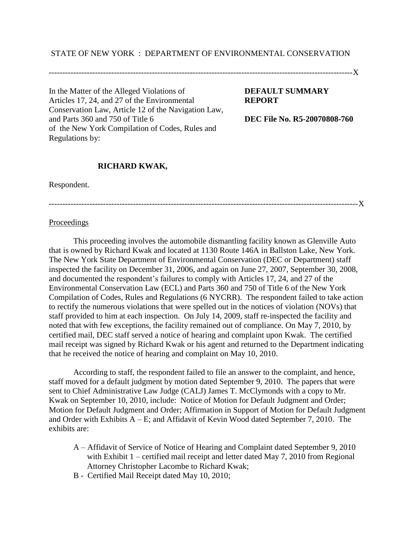# STATE OF NEW YORK : DEPARTMENT OF ENVIRONMENTAL CONSERVATION

----------------------------------------------------------------------------------------------------------------X

In the Matter of the Alleged Violations of **DEFAULT SUMMARY**  Articles 17, 24, and 27 of the Environmental **REPORT** Conservation Law, Article 12 of the Navigation Law, and Parts 360 and 750 of Title 6 **DEC File No. R5-20070808-760** of the New York Compilation of Codes, Rules and Regulations by:

# **RICHARD KWAK,**

Respondent.

------------------------------------------------------------------------------------------------------------------X

#### **Proceedings**

This proceeding involves the automobile dismantling facility known as Glenville Auto that is owned by Richard Kwak and located at 1130 Route 146A in Ballston Lake, New York. The New York State Department of Environmental Conservation (DEC or Department) staff inspected the facility on December 31, 2006, and again on June 27, 2007, September 30, 2008, and documented the respondent's failures to comply with Articles 17, 24, and 27 of the Environmental Conservation Law (ECL) and Parts 360 and 750 of Title 6 of the New York Compilation of Codes, Rules and Regulations (6 NYCRR). The respondent failed to take action to rectify the numerous violations that were spelled out in the notices of violation (NOVs) that staff provided to him at each inspection. On July 14, 2009, staff re-inspected the facility and noted that with few exceptions, the facility remained out of compliance. On May 7, 2010, by certified mail, DEC staff served a notice of hearing and complaint upon Kwak. The certified mail receipt was signed by Richard Kwak or his agent and returned to the Department indicating that he received the notice of hearing and complaint on May 10, 2010.

According to staff, the respondent failed to file an answer to the complaint, and hence, staff moved for a default judgment by motion dated September 9, 2010. The papers that were sent to Chief Administrative Law Judge (CALJ) James T. McClymonds with a copy to Mr. Kwak on September 10, 2010, include: Notice of Motion for Default Judgment and Order; Motion for Default Judgment and Order; Affirmation in Support of Motion for Default Judgment and Order with Exhibits  $A - E$ ; and Affidavit of Kevin Wood dated September 7, 2010. The exhibits are:

- A Affidavit of Service of Notice of Hearing and Complaint dated September 9, 2010 with Exhibit 1 – certified mail receipt and letter dated May 7, 2010 from Regional Attorney Christopher Lacombe to Richard Kwak;
- B Certified Mail Receipt dated May 10, 2010;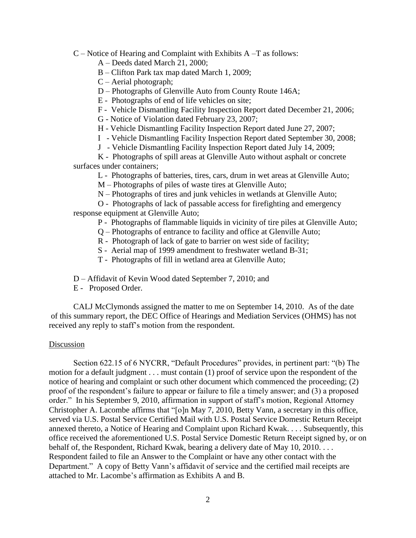C – Notice of Hearing and Complaint with Exhibits A –T as follows:

A – Deeds dated March 21, 2000;

B – Clifton Park tax map dated March 1, 2009;

C – Aerial photograph;

D – Photographs of Glenville Auto from County Route 146A;

E - Photographs of end of life vehicles on site;

F - Vehicle Dismantling Facility Inspection Report dated December 21, 2006;

G - Notice of Violation dated February 23, 2007;

H - Vehicle Dismantling Facility Inspection Report dated June 27, 2007;

I - Vehicle Dismantling Facility Inspection Report dated September 30, 2008;

J - Vehicle Dismantling Facility Inspection Report dated July 14, 2009;

K - Photographs of spill areas at Glenville Auto without asphalt or concrete surfaces under containers;

L - Photographs of batteries, tires, cars, drum in wet areas at Glenville Auto;

M – Photographs of piles of waste tires at Glenville Auto;

N – Photographs of tires and junk vehicles in wetlands at Glenville Auto;

O - Photographs of lack of passable access for firefighting and emergency response equipment at Glenville Auto;

P - Photographs of flammable liquids in vicinity of tire piles at Glenville Auto;

- Q Photographs of entrance to facility and office at Glenville Auto;
- R Photograph of lack of gate to barrier on west side of facility;
- S Aerial map of 1999 amendment to freshwater wetland B-31;

T - Photographs of fill in wetland area at Glenville Auto;

D – Affidavit of Kevin Wood dated September 7, 2010; and

E - Proposed Order.

CALJ McClymonds assigned the matter to me on September 14, 2010. As of the date of this summary report, the DEC Office of Hearings and Mediation Services (OHMS) has not received any reply to staff's motion from the respondent.

## **Discussion**

Section 622.15 of 6 NYCRR, "Default Procedures" provides, in pertinent part: "(b) The motion for a default judgment . . . must contain (1) proof of service upon the respondent of the notice of hearing and complaint or such other document which commenced the proceeding; (2) proof of the respondent's failure to appear or failure to file a timely answer; and (3) a proposed order." In his September 9, 2010, affirmation in support of staff's motion, Regional Attorney Christopher A. Lacombe affirms that "[o]n May 7, 2010, Betty Vann, a secretary in this office, served via U.S. Postal Service Certified Mail with U.S. Postal Service Domestic Return Receipt annexed thereto, a Notice of Hearing and Complaint upon Richard Kwak. . . . Subsequently, this office received the aforementioned U.S. Postal Service Domestic Return Receipt signed by, or on behalf of, the Respondent, Richard Kwak, bearing a delivery date of May 10, 2010. . . . Respondent failed to file an Answer to the Complaint or have any other contact with the Department." A copy of Betty Vann's affidavit of service and the certified mail receipts are attached to Mr. Lacombe's affirmation as Exhibits A and B.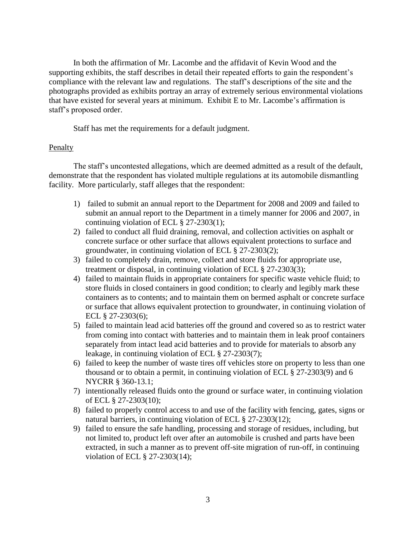In both the affirmation of Mr. Lacombe and the affidavit of Kevin Wood and the supporting exhibits, the staff describes in detail their repeated efforts to gain the respondent's compliance with the relevant law and regulations. The staff's descriptions of the site and the photographs provided as exhibits portray an array of extremely serious environmental violations that have existed for several years at minimum. Exhibit E to Mr. Lacombe's affirmation is staff's proposed order.

Staff has met the requirements for a default judgment.

# Penalty

The staff's uncontested allegations, which are deemed admitted as a result of the default, demonstrate that the respondent has violated multiple regulations at its automobile dismantling facility. More particularly, staff alleges that the respondent:

- 1) failed to submit an annual report to the Department for 2008 and 2009 and failed to submit an annual report to the Department in a timely manner for 2006 and 2007, in continuing violation of ECL § 27-2303(1);
- 2) failed to conduct all fluid draining, removal, and collection activities on asphalt or concrete surface or other surface that allows equivalent protections to surface and groundwater, in continuing violation of ECL § 27-2303(2);
- 3) failed to completely drain, remove, collect and store fluids for appropriate use, treatment or disposal, in continuing violation of ECL § 27-2303(3);
- 4) failed to maintain fluids in appropriate containers for specific waste vehicle fluid; to store fluids in closed containers in good condition; to clearly and legibly mark these containers as to contents; and to maintain them on bermed asphalt or concrete surface or surface that allows equivalent protection to groundwater, in continuing violation of ECL § 27-2303(6);
- 5) failed to maintain lead acid batteries off the ground and covered so as to restrict water from coming into contact with batteries and to maintain them in leak proof containers separately from intact lead acid batteries and to provide for materials to absorb any leakage, in continuing violation of ECL § 27-2303(7);
- 6) failed to keep the number of waste tires off vehicles store on property to less than one thousand or to obtain a permit, in continuing violation of ECL § 27-2303(9) and 6 NYCRR § 360-13.1;
- 7) intentionally released fluids onto the ground or surface water, in continuing violation of ECL § 27-2303(10);
- 8) failed to properly control access to and use of the facility with fencing, gates, signs or natural barriers, in continuing violation of ECL § 27-2303(12);
- 9) failed to ensure the safe handling, processing and storage of residues, including, but not limited to, product left over after an automobile is crushed and parts have been extracted, in such a manner as to prevent off-site migration of run-off, in continuing violation of ECL § 27-2303(14);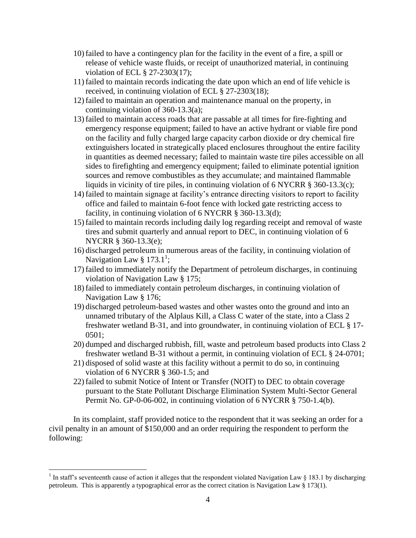- 10) failed to have a contingency plan for the facility in the event of a fire, a spill or release of vehicle waste fluids, or receipt of unauthorized material, in continuing violation of ECL § 27-2303(17);
- 11) failed to maintain records indicating the date upon which an end of life vehicle is received, in continuing violation of ECL § 27-2303(18);
- 12) failed to maintain an operation and maintenance manual on the property, in continuing violation of 360-13.3(a);
- 13) failed to maintain access roads that are passable at all times for fire-fighting and emergency response equipment; failed to have an active hydrant or viable fire pond on the facility and fully charged large capacity carbon dioxide or dry chemical fire extinguishers located in strategically placed enclosures throughout the entire facility in quantities as deemed necessary; failed to maintain waste tire piles accessible on all sides to firefighting and emergency equipment; failed to eliminate potential ignition sources and remove combustibles as they accumulate; and maintained flammable liquids in vicinity of tire piles, in continuing violation of 6 NYCRR  $\S$  360-13.3(c);
- 14) failed to maintain signage at facility's entrance directing visitors to report to facility office and failed to maintain 6-foot fence with locked gate restricting access to facility, in continuing violation of 6 NYCRR § 360-13.3(d);
- 15) failed to maintain records including daily log regarding receipt and removal of waste tires and submit quarterly and annual report to DEC, in continuing violation of 6 NYCRR § 360-13.3(e);
- 16) discharged petroleum in numerous areas of the facility, in continuing violation of Navigation Law  $\S 173.1^1$ ;
- 17) failed to immediately notify the Department of petroleum discharges, in continuing violation of Navigation Law § 175;
- 18) failed to immediately contain petroleum discharges, in continuing violation of Navigation Law § 176;
- 19) discharged petroleum-based wastes and other wastes onto the ground and into an unnamed tributary of the Alplaus Kill, a Class C water of the state, into a Class 2 freshwater wetland B-31, and into groundwater, in continuing violation of ECL § 17- 0501;
- 20) dumped and discharged rubbish, fill, waste and petroleum based products into Class 2 freshwater wetland B-31 without a permit, in continuing violation of ECL § 24-0701;
- 21) disposed of solid waste at this facility without a permit to do so, in continuing violation of 6 NYCRR § 360-1.5; and
- 22) failed to submit Notice of Intent or Transfer (NOIT) to DEC to obtain coverage pursuant to the State Pollutant Discharge Elimination System Multi-Sector General Permit No. GP-0-06-002, in continuing violation of 6 NYCRR § 750-1.4(b).

In its complaint, staff provided notice to the respondent that it was seeking an order for a civil penalty in an amount of \$150,000 and an order requiring the respondent to perform the following:

 $\overline{a}$ 

<sup>&</sup>lt;sup>1</sup> In staff's seventeenth cause of action it alleges that the respondent violated Navigation Law § 183.1 by discharging petroleum. This is apparently a typographical error as the correct citation is Navigation Law § 173(1).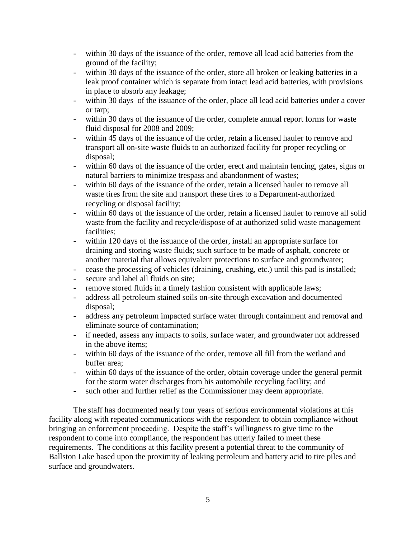- within 30 days of the issuance of the order, remove all lead acid batteries from the ground of the facility;
- within 30 days of the issuance of the order, store all broken or leaking batteries in a leak proof container which is separate from intact lead acid batteries, with provisions in place to absorb any leakage;
- within 30 days of the issuance of the order, place all lead acid batteries under a cover or tarp;
- within 30 days of the issuance of the order, complete annual report forms for waste fluid disposal for 2008 and 2009;
- within 45 days of the issuance of the order, retain a licensed hauler to remove and transport all on-site waste fluids to an authorized facility for proper recycling or disposal;
- within 60 days of the issuance of the order, erect and maintain fencing, gates, signs or natural barriers to minimize trespass and abandonment of wastes;
- within 60 days of the issuance of the order, retain a licensed hauler to remove all waste tires from the site and transport these tires to a Department-authorized recycling or disposal facility;
- within 60 days of the issuance of the order, retain a licensed hauler to remove all solid waste from the facility and recycle/dispose of at authorized solid waste management facilities;
- within 120 days of the issuance of the order, install an appropriate surface for draining and storing waste fluids; such surface to be made of asphalt, concrete or another material that allows equivalent protections to surface and groundwater;
- cease the processing of vehicles (draining, crushing, etc.) until this pad is installed;
- secure and label all fluids on site;
- remove stored fluids in a timely fashion consistent with applicable laws;
- address all petroleum stained soils on-site through excavation and documented disposal;
- address any petroleum impacted surface water through containment and removal and eliminate source of contamination;
- if needed, assess any impacts to soils, surface water, and groundwater not addressed in the above items;
- within 60 days of the issuance of the order, remove all fill from the wetland and buffer area;
- within 60 days of the issuance of the order, obtain coverage under the general permit for the storm water discharges from his automobile recycling facility; and
- such other and further relief as the Commissioner may deem appropriate.

The staff has documented nearly four years of serious environmental violations at this facility along with repeated communications with the respondent to obtain compliance without bringing an enforcement proceeding. Despite the staff's willingness to give time to the respondent to come into compliance, the respondent has utterly failed to meet these requirements. The conditions at this facility present a potential threat to the community of Ballston Lake based upon the proximity of leaking petroleum and battery acid to tire piles and surface and groundwaters.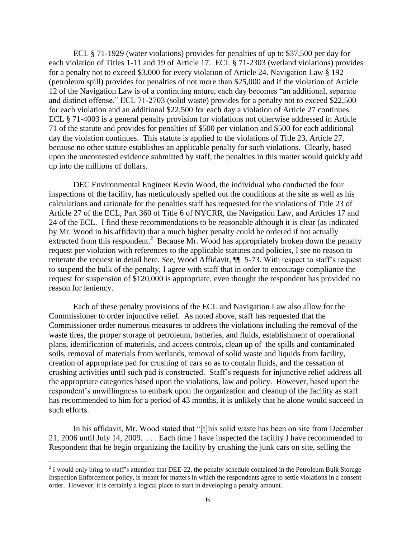ECL § 71-1929 (water violations) provides for penalties of up to \$37,500 per day for each violation of Titles 1-11 and 19 of Article 17. ECL § 71-2303 (wetland violations) provides for a penalty not to exceed \$3,000 for every violation of Article 24. Navigation Law § 192 (petroleum spill) provides for penalties of not more than \$25,000 and if the violation of Article 12 of the Navigation Law is of a continuing nature, each day becomes "an additional, separate and distinct offense." ECL 71-2703 (solid waste) provides for a penalty not to exceed \$22,500 for each violation and an additional \$22,500 for each day a violation of Article 27 continues. ECL § 71-4003 is a general penalty provision for violations not otherwise addressed in Article 71 of the statute and provides for penalties of \$500 per violation and \$500 for each additional day the violation continues. This statute is applied to the violations of Title 23, Article 27, because no other statute establishes an applicable penalty for such violations. Clearly, based upon the uncontested evidence submitted by staff, the penalties in this matter would quickly add up into the millions of dollars.

DEC Environmental Engineer Kevin Wood, the individual who conducted the four inspections of the facility, has meticulously spelled out the conditions at the site as well as his calculations and rationale for the penalties staff has requested for the violations of Title 23 of Article 27 of the ECL, Part 360 of Title 6 of NYCRR, the Navigation Law, and Articles 17 and 24 of the ECL. I find these recommendations to be reasonable although it is clear (as indicated by Mr. Wood in his affidavit) that a much higher penalty could be ordered if not actually extracted from this respondent.<sup>2</sup> Because Mr. Wood has appropriately broken down the penalty request per violation with references to the applicable statutes and policies, I see no reason to reiterate the request in detail here. *See*, Wood Affidavit, ¶¶ 5-73. With respect to staff's request to suspend the bulk of the penalty, I agree with staff that in order to encourage compliance the request for suspension of \$120,000 is appropriate, even thought the respondent has provided no reason for leniency.

Each of these penalty provisions of the ECL and Navigation Law also allow for the Commissioner to order injunctive relief. As noted above, staff has requested that the Commissioner order numerous measures to address the violations including the removal of the waste tires, the proper storage of petroleum, batteries, and fluids, establishment of operational plans, identification of materials, and access controls, clean up of the spills and contaminated soils, removal of materials from wetlands, removal of solid waste and liquids from facility, creation of appropriate pad for crushing of cars so as to contain fluids, and the cessation of crushing activities until such pad is constructed. Staff's requests for injunctive relief address all the appropriate categories based upon the violations, law and policy. However, based upon the respondent's unwillingness to embark upon the organization and cleanup of the facility as staff has recommended to him for a period of 43 months, it is unlikely that he alone would succeed in such efforts.

In his affidavit, Mr. Wood stated that "[t]his solid waste has been on site from December 21, 2006 until July 14, 2009. . . . Each time I have inspected the facility I have recommended to Respondent that he begin organizing the facility by crushing the junk cars on site, selling the

 $\overline{a}$ 

 $2$  I would only bring to staff's attention that DEE-22, the penalty schedule contained in the Petroleum Bulk Storage Inspection Enforcement policy, is meant for matters in which the respondents agree to settle violations in a consent order. However, it is certainly a logical place to start in developing a penalty amount.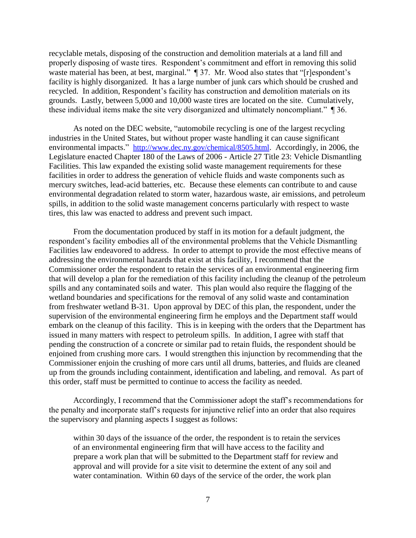recyclable metals, disposing of the construction and demolition materials at a land fill and properly disposing of waste tires. Respondent's commitment and effort in removing this solid waste material has been, at best, marginal."  $\P$  37. Mr. Wood also states that "[r]espondent's facility is highly disorganized. It has a large number of junk cars which should be crushed and recycled. In addition, Respondent's facility has construction and demolition materials on its grounds. Lastly, between 5,000 and 10,000 waste tires are located on the site. Cumulatively, these individual items make the site very disorganized and ultimately noncompliant." ¶ 36.

As noted on the DEC website, "automobile recycling is one of the largest recycling industries in the United States, but without proper waste handling it can cause significant environmental impacts." <http://www.dec.ny.gov/chemical/8505.html>. Accordingly, in 2006, the Legislature enacted Chapter 180 of the Laws of 2006 - Article 27 Title 23: Vehicle Dismantling Facilities. This law expanded the existing solid waste management requirements for these facilities in order to address the generation of vehicle fluids and waste components such as mercury switches, lead-acid batteries, etc. Because these elements can contribute to and cause environmental degradation related to storm water, hazardous waste, air emissions, and petroleum spills, in addition to the solid waste management concerns particularly with respect to waste tires, this law was enacted to address and prevent such impact.

From the documentation produced by staff in its motion for a default judgment, the respondent's facility embodies all of the environmental problems that the Vehicle Dismantling Facilities law endeavored to address. In order to attempt to provide the most effective means of addressing the environmental hazards that exist at this facility, I recommend that the Commissioner order the respondent to retain the services of an environmental engineering firm that will develop a plan for the remediation of this facility including the cleanup of the petroleum spills and any contaminated soils and water. This plan would also require the flagging of the wetland boundaries and specifications for the removal of any solid waste and contamination from freshwater wetland B-31. Upon approval by DEC of this plan, the respondent, under the supervision of the environmental engineering firm he employs and the Department staff would embark on the cleanup of this facility. This is in keeping with the orders that the Department has issued in many matters with respect to petroleum spills. In addition, I agree with staff that pending the construction of a concrete or similar pad to retain fluids, the respondent should be enjoined from crushing more cars. I would strengthen this injunction by recommending that the Commissioner enjoin the crushing of more cars until all drums, batteries, and fluids are cleaned up from the grounds including containment, identification and labeling, and removal. As part of this order, staff must be permitted to continue to access the facility as needed.

Accordingly, I recommend that the Commissioner adopt the staff's recommendations for the penalty and incorporate staff's requests for injunctive relief into an order that also requires the supervisory and planning aspects I suggest as follows:

within 30 days of the issuance of the order, the respondent is to retain the services of an environmental engineering firm that will have access to the facility and prepare a work plan that will be submitted to the Department staff for review and approval and will provide for a site visit to determine the extent of any soil and water contamination. Within 60 days of the service of the order, the work plan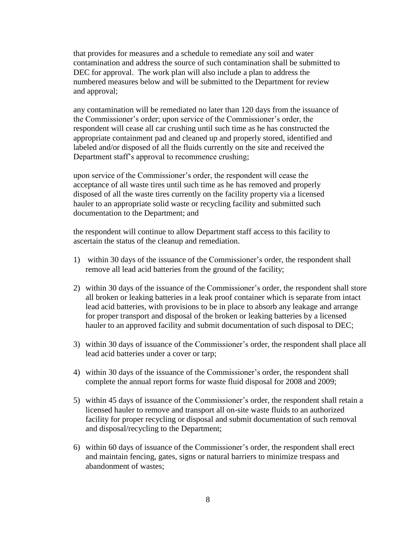that provides for measures and a schedule to remediate any soil and water contamination and address the source of such contamination shall be submitted to DEC for approval. The work plan will also include a plan to address the numbered measures below and will be submitted to the Department for review and approval;

any contamination will be remediated no later than 120 days from the issuance of the Commissioner's order; upon service of the Commissioner's order, the respondent will cease all car crushing until such time as he has constructed the appropriate containment pad and cleaned up and properly stored, identified and labeled and/or disposed of all the fluids currently on the site and received the Department staff's approval to recommence crushing;

upon service of the Commissioner's order, the respondent will cease the acceptance of all waste tires until such time as he has removed and properly disposed of all the waste tires currently on the facility property via a licensed hauler to an appropriate solid waste or recycling facility and submitted such documentation to the Department; and

the respondent will continue to allow Department staff access to this facility to ascertain the status of the cleanup and remediation.

- 1) within 30 days of the issuance of the Commissioner's order, the respondent shall remove all lead acid batteries from the ground of the facility;
- 2) within 30 days of the issuance of the Commissioner's order, the respondent shall store all broken or leaking batteries in a leak proof container which is separate from intact lead acid batteries, with provisions to be in place to absorb any leakage and arrange for proper transport and disposal of the broken or leaking batteries by a licensed hauler to an approved facility and submit documentation of such disposal to DEC;
- 3) within 30 days of issuance of the Commissioner's order, the respondent shall place all lead acid batteries under a cover or tarp;
- 4) within 30 days of the issuance of the Commissioner's order, the respondent shall complete the annual report forms for waste fluid disposal for 2008 and 2009;
- 5) within 45 days of issuance of the Commissioner's order, the respondent shall retain a licensed hauler to remove and transport all on-site waste fluids to an authorized facility for proper recycling or disposal and submit documentation of such removal and disposal/recycling to the Department;
- 6) within 60 days of issuance of the Commissioner's order, the respondent shall erect and maintain fencing, gates, signs or natural barriers to minimize trespass and abandonment of wastes;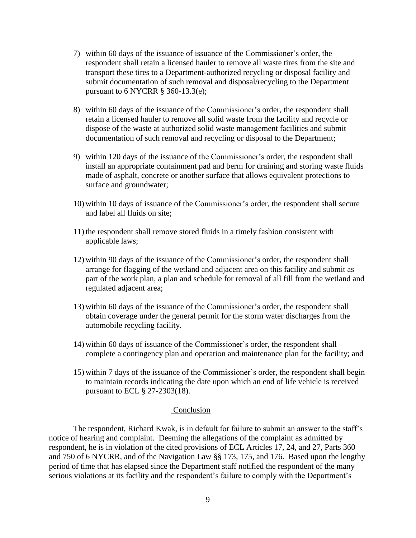- 7) within 60 days of the issuance of issuance of the Commissioner's order, the respondent shall retain a licensed hauler to remove all waste tires from the site and transport these tires to a Department-authorized recycling or disposal facility and submit documentation of such removal and disposal/recycling to the Department pursuant to  $6$  NYCRR  $§$  360-13.3(e);
- 8) within 60 days of the issuance of the Commissioner's order, the respondent shall retain a licensed hauler to remove all solid waste from the facility and recycle or dispose of the waste at authorized solid waste management facilities and submit documentation of such removal and recycling or disposal to the Department;
- 9) within 120 days of the issuance of the Commissioner's order, the respondent shall install an appropriate containment pad and berm for draining and storing waste fluids made of asphalt, concrete or another surface that allows equivalent protections to surface and groundwater;
- 10) within 10 days of issuance of the Commissioner's order, the respondent shall secure and label all fluids on site;
- 11) the respondent shall remove stored fluids in a timely fashion consistent with applicable laws;
- 12) within 90 days of the issuance of the Commissioner's order, the respondent shall arrange for flagging of the wetland and adjacent area on this facility and submit as part of the work plan, a plan and schedule for removal of all fill from the wetland and regulated adjacent area;
- 13) within 60 days of the issuance of the Commissioner's order, the respondent shall obtain coverage under the general permit for the storm water discharges from the automobile recycling facility.
- 14) within 60 days of issuance of the Commissioner's order, the respondent shall complete a contingency plan and operation and maintenance plan for the facility; and
- 15) within 7 days of the issuance of the Commissioner's order, the respondent shall begin to maintain records indicating the date upon which an end of life vehicle is received pursuant to ECL § 27-2303(18).

## Conclusion

The respondent, Richard Kwak, is in default for failure to submit an answer to the staff's notice of hearing and complaint. Deeming the allegations of the complaint as admitted by respondent, he is in violation of the cited provisions of ECL Articles 17, 24, and 27, Parts 360 and 750 of 6 NYCRR, and of the Navigation Law §§ 173, 175, and 176. Based upon the lengthy period of time that has elapsed since the Department staff notified the respondent of the many serious violations at its facility and the respondent's failure to comply with the Department's